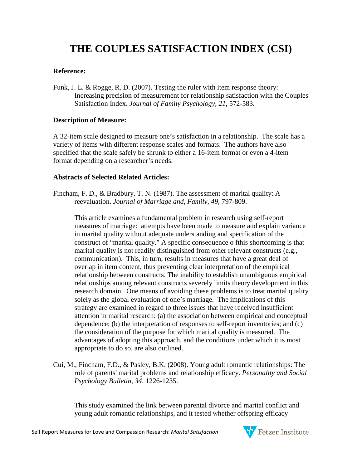# **THE COUPLES SATISFACTION INDEX (CSI)**

### **Reference:**

Funk, J. L. & Rogge, R. D. (2007). Testing the ruler with item response theory: Increasing precision of measurement for relationship satisfaction with the Couples Satisfaction Index. *Journal of Family Psychology, 21*, 572-583.

### **Description of Measure:**

A 32-item scale designed to measure one's satisfaction in a relationship. The scale has a variety of items with different response scales and formats. The authors have also specified that the scale safely be shrunk to either a 16-item format or even a 4-item format depending on a researcher's needs.

### **Abstracts of Selected Related Articles:**

Fincham, F. D., & Bradbury, T. N. (1987). The assessment of marital quality: A reevaluation. *Journal of Marriage and, Family*, *49*, 797-809.

This article examines a fundamental problem in research using self-report measures of marriage: attempts have been made to measure and explain variance in marital quality without adequate understanding and specification of the construct of "marital quality." A specific consequence o fthis shortcoming is that marital quality is not readily distinguished from other relevant constructs (e.g., communication). This, in turn, results in measures that have a great deal of overlap in item content, thus preventing clear interpretation of the empirical relationship between constructs. The inability to establish unambiguous empirical relationships among relevant constructs severely limits theory development in this research domain. One means of avoiding these problems is to treat marital quality solely as the global evaluation of one's marriage. The implications of this strategy are examined in regard to three issues that have received insufficient attention in marital research: (a) the association between empirical and conceptual dependence; (b) the interpretation of responses to self-report inventories; and (c) the consideration of the purpose for which marital quality is measured. The advantages of adopting this approach, and the conditions under which it is most appropriate to do so, are also outlined.

Cui, M., Fincham, F.D., & Pasley, B.K. (2008). Young adult romantic relationships: The role of parents' marital problems and relationship efficacy. *Personality and Social Psychology Bulletin, 34*, 1226-1235.

This study examined the link between parental divorce and marital conflict and young adult romantic relationships, and it tested whether offspring efficacy

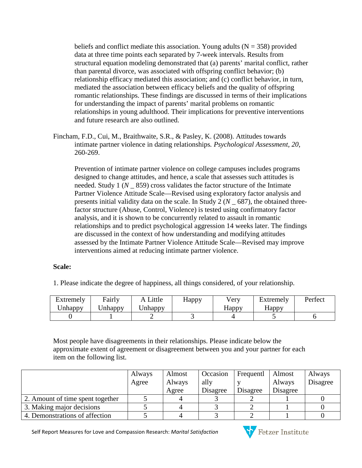beliefs and conflict mediate this association. Young adults  $(N = 358)$  provided data at three time points each separated by 7-week intervals. Results from structural equation modeling demonstrated that (a) parents' marital conflict, rather than parental divorce, was associated with offspring conflict behavior; (b) relationship efficacy mediated this association; and (c) conflict behavior, in turn, mediated the association between efficacy beliefs and the quality of offspring romantic relationships. These findings are discussed in terms of their implications for understanding the impact of parents' marital problems on romantic relationships in young adulthood. Their implications for preventive interventions and future research are also outlined.

Fincham, F.D., Cui, M., Braithwaite, S.R., & Pasley, K. (2008). Attitudes towards intimate partner violence in dating relationships*. Psychological Assessment, 20*, 260-269.

Prevention of intimate partner violence on college campuses includes programs designed to change attitudes, and hence, a scale that assesses such attitudes is needed. Study 1 (*N* \_ 859) cross validates the factor structure of the Intimate Partner Violence Attitude Scale—Revised using exploratory factor analysis and presents initial validity data on the scale. In Study 2 (*N* \_ 687), the obtained threefactor structure (Abuse, Control, Violence) is tested using confirmatory factor analysis, and it is shown to be concurrently related to assault in romantic relationships and to predict psychological aggression 14 weeks later. The findings are discussed in the context of how understanding and modifying attitudes assessed by the Intimate Partner Violence Attitude Scale—Revised may improve interventions aimed at reducing intimate partner violence.

## **Scale:**

1. Please indicate the degree of happiness, all things considered, of your relationship.

| Extremely<br>Jnhappy | Fairly<br>Jnhappv | <i>ittle</i><br>Inhappy | Нарру | Very<br>Happy | Extremely<br>Happy | Perfect |
|----------------------|-------------------|-------------------------|-------|---------------|--------------------|---------|
|                      |                   |                         |       |               |                    |         |

Most people have disagreements in their relationships. Please indicate below the approximate extent of agreement or disagreement between you and your partner for each item on the following list.

|                                  | Always | Almost | Occasion | Frequentl | Almost   | Always   |
|----------------------------------|--------|--------|----------|-----------|----------|----------|
|                                  | Agree  | Always | ally     |           | Always   | Disagree |
|                                  |        | Agree  | Disagree | Disagree  | Disagree |          |
| 2. Amount of time spent together |        |        |          |           |          |          |
| 3. Making major decisions        |        |        |          |           |          |          |
| 4. Demonstrations of affection   |        |        |          |           |          |          |

Self Report Measures for Love and Compassion Research: *Marital Satisfaction* 

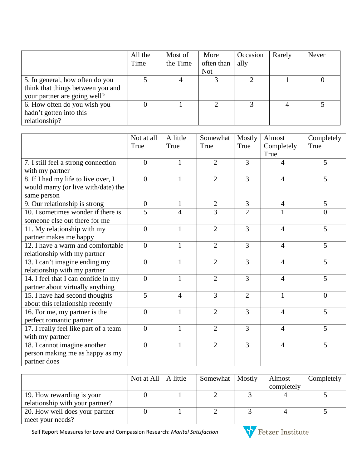|                                   | All the<br>Time | Most of<br>the Time | More<br>often than | Occasion<br>ally | Rarely | <b>Never</b> |
|-----------------------------------|-----------------|---------------------|--------------------|------------------|--------|--------------|
|                                   |                 |                     | <b>Not</b>         |                  |        |              |
| 5. In general, how often do you   |                 |                     |                    |                  |        |              |
| think that things between you and |                 |                     |                    |                  |        |              |
| your partner are going well?      |                 |                     |                    |                  |        |              |
| 6. How often do you wish you      |                 |                     |                    |                  |        |              |
| hadn't gotten into this           |                 |                     |                    |                  |        |              |
| relationship?                     |                 |                     |                    |                  |        |              |

|                                       | Not at all     | A little       | Somewhat       | Mostly         | Almost             | Completely     |
|---------------------------------------|----------------|----------------|----------------|----------------|--------------------|----------------|
|                                       | True           | True           | True           | True           | Completely<br>True | True           |
| 7. I still feel a strong connection   | $\overline{0}$ | $\mathbf{1}$   | $\overline{2}$ | 3              | 4                  | 5              |
| with my partner                       |                |                |                |                |                    |                |
| 8. If I had my life to live over, I   | $\theta$       | $\mathbf{1}$   | $\overline{2}$ | $\overline{3}$ | $\overline{4}$     | 5              |
| would marry (or live with/date) the   |                |                |                |                |                    |                |
| same person                           |                |                |                |                |                    |                |
| 9. Our relationship is strong         | $\mathbf{0}$   | $\mathbf{1}$   | $\overline{2}$ | 3              | $\overline{4}$     | 5              |
| 10. I sometimes wonder if there is    | 5              | $\overline{4}$ | 3              | $\overline{2}$ | $\mathbf{1}$       | $\overline{0}$ |
| someone else out there for me         |                |                |                |                |                    |                |
| 11. My relationship with my           | $\overline{0}$ | $\mathbf{1}$   | $\overline{2}$ | $\overline{3}$ | $\overline{4}$     | 5              |
| partner makes me happy                |                |                |                |                |                    |                |
| 12. I have a warm and comfortable     | $\overline{0}$ | $\mathbf{1}$   | $\overline{2}$ | $\overline{3}$ | $\overline{4}$     | 5              |
| relationship with my partner          |                |                |                |                |                    |                |
| 13. I can't imagine ending my         | $\overline{0}$ | $\mathbf{1}$   | $\overline{2}$ | 3              | $\overline{4}$     | 5              |
| relationship with my partner          |                |                |                |                |                    |                |
| 14. I feel that I can confide in my   | $\overline{0}$ | $\mathbf{1}$   | $\overline{2}$ | $\overline{3}$ | $\overline{4}$     | 5              |
| partner about virtually anything      |                |                |                |                |                    |                |
| 15. I have had second thoughts        | $\overline{5}$ | $\overline{4}$ | 3              | $\overline{2}$ | $\mathbf{1}$       | $\overline{0}$ |
| about this relationship recently      |                |                |                |                |                    |                |
| 16. For me, my partner is the         | $\overline{0}$ | $\mathbf{1}$   | $\overline{2}$ | 3              | $\overline{4}$     | 5              |
| perfect romantic partner              |                |                |                |                |                    |                |
| 17. I really feel like part of a team | $\overline{0}$ | $\mathbf{1}$   | $\overline{2}$ | 3              | $\overline{4}$     | 5              |
| with my partner                       |                |                |                |                |                    |                |
| 18. I cannot imagine another          | $\overline{0}$ | $\mathbf{1}$   | $\overline{2}$ | $\overline{3}$ | $\overline{4}$     | 5              |
| person making me as happy as my       |                |                |                |                |                    |                |
| partner does                          |                |                |                |                |                    |                |

|                                 | Not at All $\mid$ A little | Somewhat   Mostly | Almost     | Completely |
|---------------------------------|----------------------------|-------------------|------------|------------|
|                                 |                            |                   | completely |            |
| 19. How rewarding is your       |                            |                   |            |            |
| relationship with your partner? |                            |                   |            |            |
| 20. How well does your partner  |                            |                   |            |            |
| meet your needs?                |                            |                   |            |            |

Self Report Measures for Love and Compassion Research: *Marital Satisfaction*